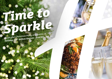# *Time to [Sparkle](https://miltonkeynes-east.hichristmas.co.uk) Book your Christmas Party and Events at*

*Holiday Inn® Milton Keynes - East M1, Jct. 14*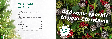Why not join us at the Holiday Inn Milton Keynes - East M1, Jct. 14 to celebrate Christmas 2022 in style?

Whether you're looking to organise a spectacular Christmas party for colleagues, a festive night out for friends or a celebratory feast with loved ones, we've got the perfect package for you.

### *Celebrate with us*



2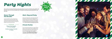# *[Party Nights](https://miltonkeynes-east.hichristmas.co.uk)*

Join us for an amazing Christmas party atmosphere at one of our festive party nights. Our function rooms can accommodate up to 190 guests and feature private dancefloor and bar area.

#### *Dance Through the Decades*

Saturdays: 3<sup>rd</sup>, 10<sup>th</sup> & 17<sup>th</sup> December **21st January**

A glass of chilled fizz will be waiting for you upon arrival at our festive party night. Enjoy a three course meal and then dance the night away with our DJ who will take you through the decades with all the party classics!

**£34.95 per adult**

*Click to book*

**Fridays: 18th & 25th November 2nd, 9th & 23rd December**

#### *Meet, Stay and Party*

Work, rest and play! Join us throughout November, December or January with your colleagues for a full-day meeting, your choice of celebration in the evening, overnight accommodation and breakfast the following day. Plan your end-of-year meeting today! Please enquire for availability and pricing.

#### *Private Parties*

From intimate family gatherings to large corporate parties, we have functions rooms available to hire based on your requirements. Please contact us so we can help you plan your perfect celebration. Minimum numbers apply. Prices available upon request. Pre-booking only and subject to availability. Dates sell fast so enquire today!



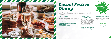# *[Casual Festive](https://miltonkeynes-east.hichristmas.co.uk) Dining*

Whether you're looking to organise a spectacular Christmas dinner for colleagues, a festive lunch for friends or a celebratory feast with loved ones, we've got the perfect event for you.

#### *Festive Lunch*

Our festive lunches are perfect for any occasion, whether you want to spend time with family, friends or work colleagues. Includes a glass of fizz upon arrival and a three-course festive meal.

**Available seven days a week. (subject to availability). Pre-booking essential. Call 03333 209 340 opt 4 to book.**

#### *Pizza and Prosecco*

Pizza and Prosecco = Perfect! Book today so you can enjoy a pizza and a glass of Prosecco each in the relaxed atmosphere of our lounge.

#### **£14.95 per person**

#### *Festive Fizz Afternoon Tea*

Enjoy a festive afternoon tea, including tea & coffee and a refreshing glass of fizz! The perfect treat for anyone to enjoy. It also includes a selection of sandwiches, scones with cream & jam and a mouthwatering slice of seasonal cake.



#### **£18.00 per person**



**From £17.95 per person**

**Available every Tuesday and Thursday throughout December at 12pm, 12:30pm and 1pm. Pre-booking essential, available to book online.** 

**Fridays and Sundays throughout December at 5pm, 6pm and 6:30pm. Available to book online.**

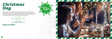## *[Christmas](https://miltonkeynes-east.hichristmas.co.uk)  Day*

**£64.95 per adult** <u> The Communication of the Communication of the Communication of the Communication of the Communication of the Communication of the Communication of the Communication of the Communication of the Communication of the Commun</u>

Nothing brings the true feeling of Christmas Day closer than a delicious festive lunch with your nearest and dearest. Enjoy a fantastic three course meal with tea & coffee to finish, leaving us to do the dishes! A gift for the children will be provided. Christmas Day lunch will be in The Carrington and Lovett Suites.

**£32.00 per child (aged 3-12 years)**

**Under 3's eat free**

### *Menus to follow*



**Sunday 25th December Sittings available at 12.30pm and 1.30pm**



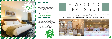### *Stay With Us*

Why not make a night of it and enjoy our special Christmas rates? Room types include standard double, family and twin. Take advantage of up to 20% off our best flexible, bed and breakfast rate. No deposit required and can be cancelled free of charge up to 48 hours prior to arrival.

### *Gift Vouchers*  $-$  Up to 20% off  $-$

We are excited to share with you the amazing gift vouchers we now have available at Holiday Inn Milton Keynes - East M1, Jct. 14. From delightful afternoon teas to overnight break packages, there's a gift for everyone. Give the gift of travel this year!



Christmas is such a wonderful time of year, why not consider having a festive wedding celebration? Our weddings are [available all year round and our fantastic wedding team will work with you to ensure you get everything you desire to](http://www.hi-miltonkeynes-east.co.uk/weddings)  make your special day a dream come true.



#### Contact us to start creating a wedding that's you, or click to find out more about our weddings



# A WEDDING THAT'S YOU